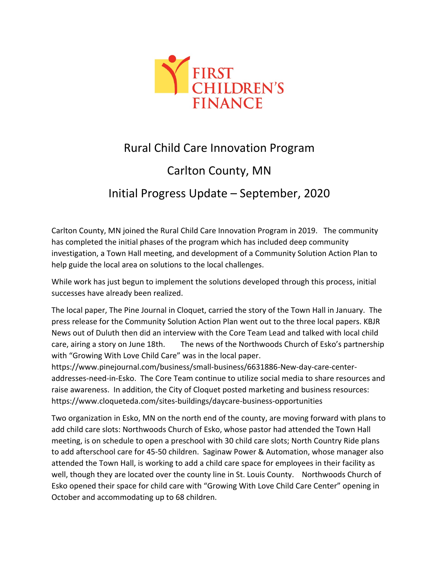

## Rural Child Care Innovation Program Carlton County, MN Initial Progress Update – September, 2020

Carlton County, MN joined the Rural Child Care Innovation Program in 2019. The community has completed the initial phases of the program which has included deep community investigation, a Town Hall meeting, and development of a Community Solution Action Plan to help guide the local area on solutions to the local challenges.

While work has just begun to implement the solutions developed through this process, initial successes have already been realized.

The local paper, The Pine Journal in Cloquet, carried the story of the Town Hall in January. The press release for the Community Solution Action Plan went out to the three local papers. KBJR News out of Duluth then did an interview with the Core Team Lead and talked with local child care, airing a story on June 18th. The news of the Northwoods Church of Esko's partnership with "Growing With Love Child Care" was in the local paper.

https://www.pinejournal.com/business/small-business/6631886-New-day-care-centeraddresses-need-in-Esko. The Core Team continue to utilize social media to share resources and raise awareness. In addition, the City of Cloquet posted marketing and business resources: https://www.cloqueteda.com/sites-buildings/daycare-business-opportunities

Two organization in Esko, MN on the north end of the county, are moving forward with plans to add child care slots: Northwoods Church of Esko, whose pastor had attended the Town Hall meeting, is on schedule to open a preschool with 30 child care slots; North Country Ride plans to add afterschool care for 45-50 children. Saginaw Power & Automation, whose manager also attended the Town Hall, is working to add a child care space for employees in their facility as well, though they are located over the county line in St. Louis County. Northwoods Church of Esko opened their space for child care with "Growing With Love Child Care Center" opening in October and accommodating up to 68 children.